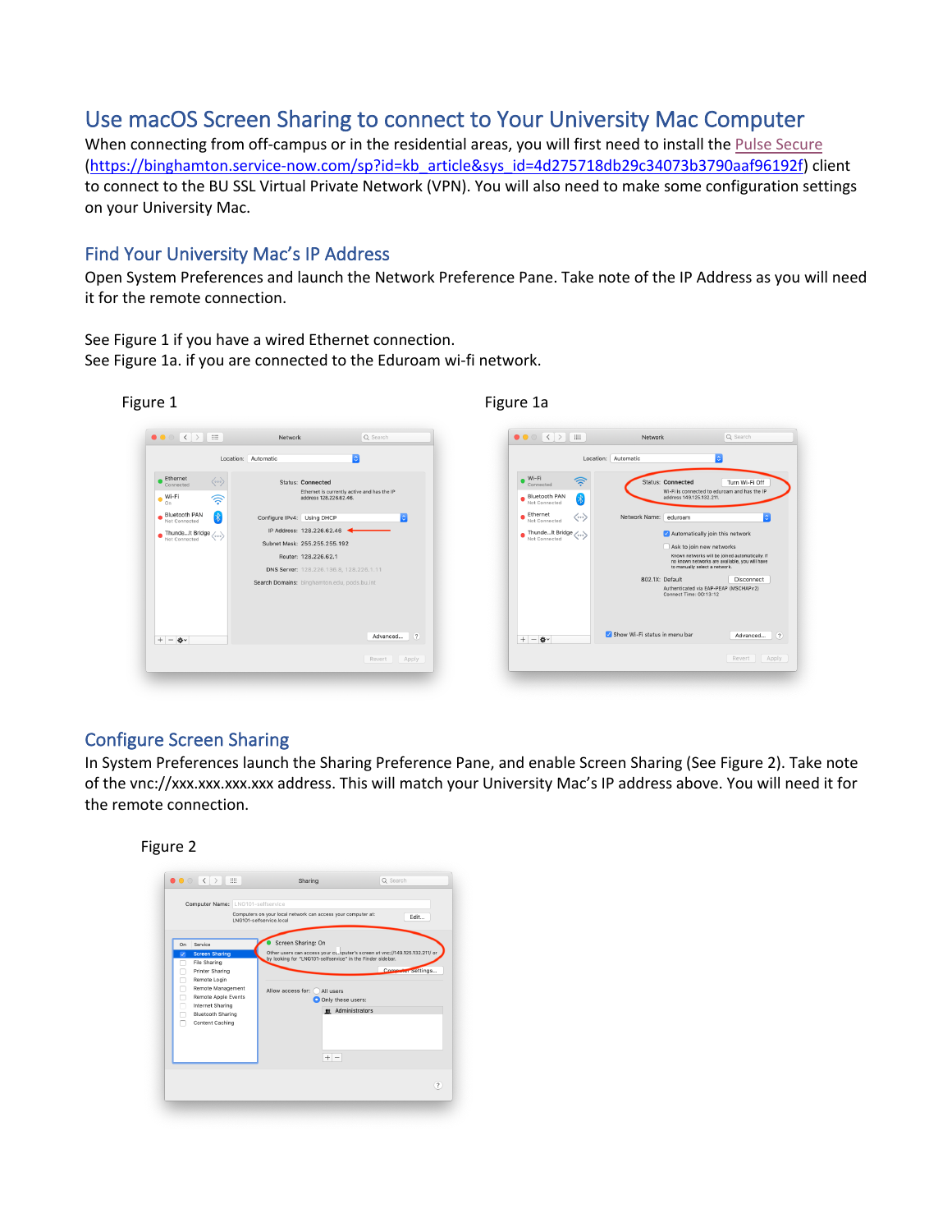# Use macOS Screen Sharing to connect to Your University Mac Computer

When connecting from off-campus or in the residential areas, you will first need to install the Pulse Secure (https://binghamton.service-now.com/sp?id=kb\_article&sys\_id=4d275718db29c34073b3790aaf96192f) client to connect to the BU SSL Virtual Private Network (VPN). You will also need to make some configuration settings on your University Mac.

### Find Your University Mac's IP Address

Open System Preferences and launch the Network Preference Pane. Take note of the IP Address as you will need it for the remote connection.

See Figure 1 if you have a wired Ethernet connection. See Figure 1a. if you are connected to the Eduroam wi-fi network.





## Configure Screen Sharing

In System Preferences launch the Sharing Preference Pane, and enable Screen Sharing (See Figure 2). Take note of the vnc://xxx.xxx.xxx.xxx address. This will match your University Mac's IP address above. You will need it for the remote connection.

#### Figure 2

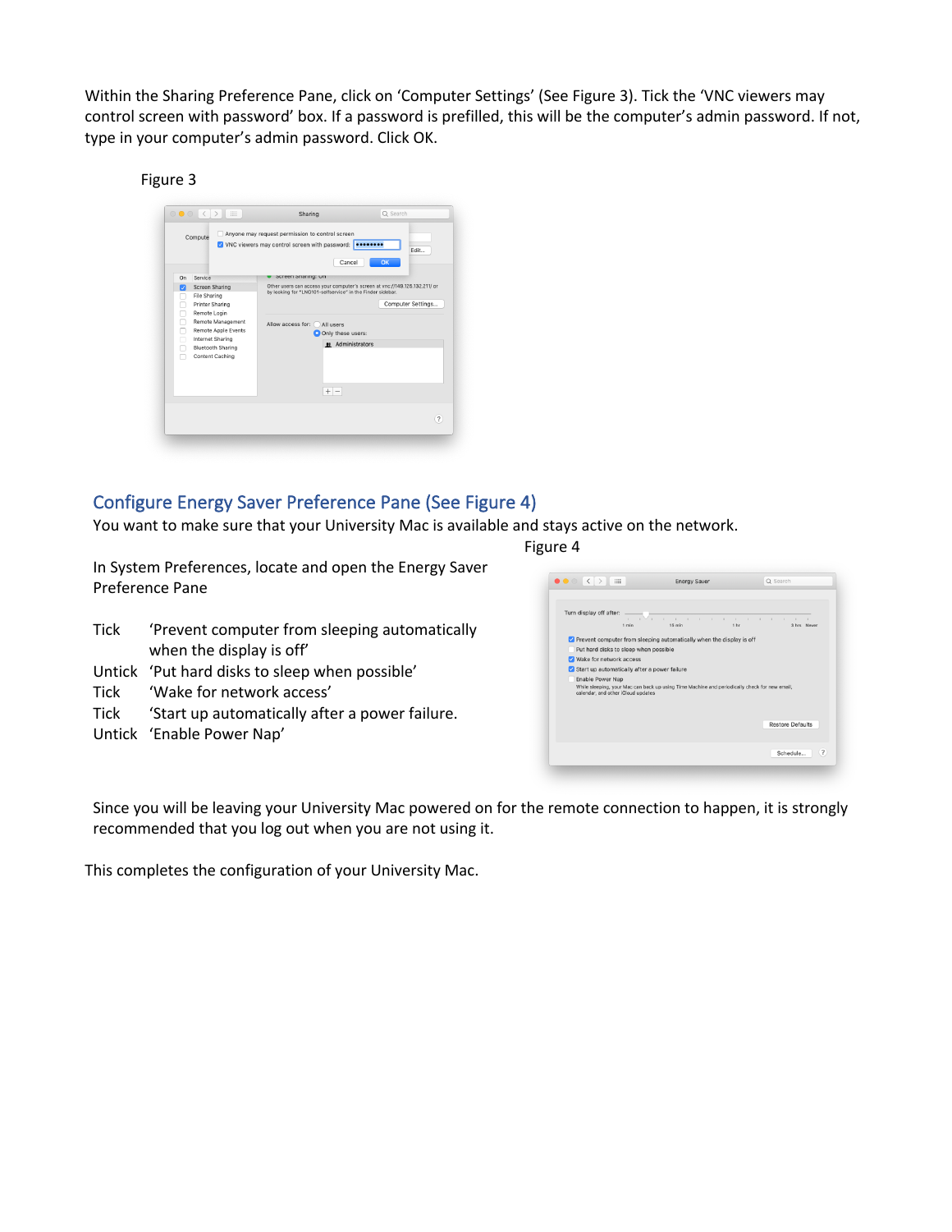Within the Sharing Preference Pane, click on 'Computer Settings' (See Figure 3). Tick the 'VNC viewers may control screen with password' box. If a password is prefilled, this will be the computer's admin password. If not, type in your computer's admin password. Click OK.

#### Figure 3

|                                         |                                                                                                                                                                                                    | V VNC viewers may control screen with password: 000000000<br>Cancel                                                                                                                                                                                  | Fdit<br>OK        |
|-----------------------------------------|----------------------------------------------------------------------------------------------------------------------------------------------------------------------------------------------------|------------------------------------------------------------------------------------------------------------------------------------------------------------------------------------------------------------------------------------------------------|-------------------|
| On<br>⊽<br>m.<br>п<br>п<br>п<br>r.<br>Г | Service<br><b>Screen Sharing</b><br>File Sharing<br>Printer Sharing<br>Remote Login<br>Remote Management<br>Remote Apple Events<br>Internet Sharing<br><b>Bluetooth Sharing</b><br>Content Caching | Screen Sharing: Un<br>Other users can access your computer's screen at ync://149.125.132.211/ or<br>by looking for "LNG101-selfservice" in the Finder sidebar.<br>Allow access for:<br>All users<br>O Only these users:<br># Administrators<br>$+ -$ | Computer Settings |

## Configure Energy Saver Preference Pane (See Figure 4)

You want to make sure that your University Mac is available and stays active on the network.

In System Preferences, locate and open the Energy Saver Preference Pane

- Tick 'Prevent computer from sleeping automatically when the display is off'
- Untick 'Put hard disks to sleep when possible'
- Tick 'Wake for network access'
- Tick 'Start up automatically after a power failure.
- Untick 'Enable Power Nap'

Figure 4

|                         | Turn display off after: _______                                                                                                     | .<br>1 min 16 min 16 min 1 hr 3 hrs Never |  |
|-------------------------|-------------------------------------------------------------------------------------------------------------------------------------|-------------------------------------------|--|
|                         | Prevent computer from sleeping automatically when the display is off                                                                |                                           |  |
|                         | Put hard disks to sleep when possible                                                                                               |                                           |  |
| Wake for network access |                                                                                                                                     |                                           |  |
|                         | Start up automatically after a power failure                                                                                        |                                           |  |
| Enable Power Nap        | While sleeping, your Mac can back up using Time Machine and periodically check for new email,<br>calendar, and other iCloud updates |                                           |  |
|                         |                                                                                                                                     |                                           |  |

Since you will be leaving your University Mac powered on for the remote connection to happen, it is strongly recommended that you log out when you are not using it.

This completes the configuration of your University Mac.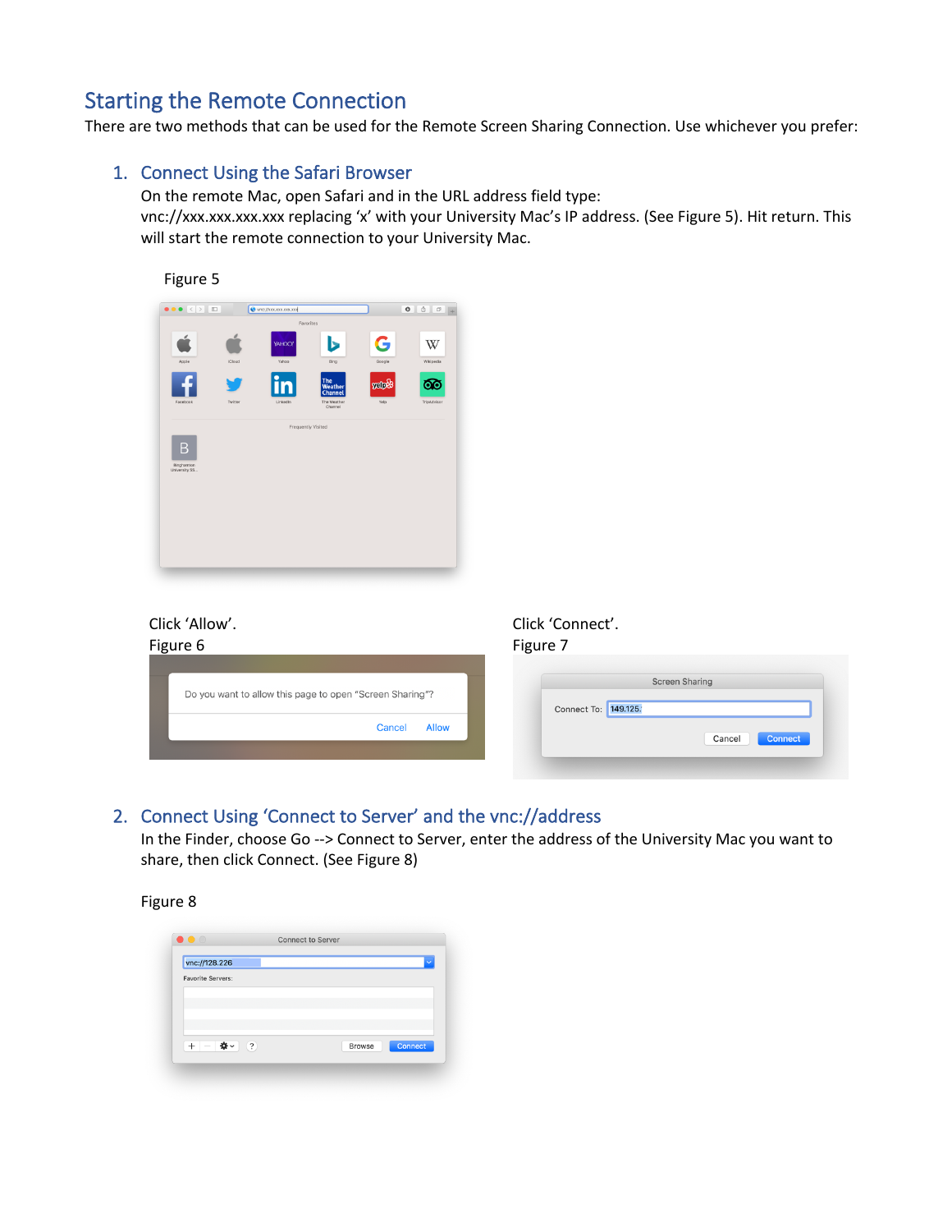# Starting the Remote Connection

There are two methods that can be used for the Remote Screen Sharing Connection. Use whichever you prefer:

#### 1. Connect Using the Safari Browser

On the remote Mac, open Safari and in the URL address field type: vnc://xxx.xxx.xxx.xxx replacing 'x' with your University Mac's IP address. (See Figure 5). Hit return. This will start the remote connection to your University Mac.



## Click 'Allow'.

| Click 'Allow'.<br>Figure 6                               | Click 'Connect'.<br>Figure 7                  |
|----------------------------------------------------------|-----------------------------------------------|
| Do you want to allow this page to open "Screen Sharing"? | <b>Screen Sharing</b><br>Connect To: 149.125. |
| <b>Allow</b><br>Cancel                                   | Connect<br>Cancel                             |

## 2. Connect Using 'Connect to Server' and the vnc://address

In the Finder, choose Go --> Connect to Server, enter the address of the University Mac you want to share, then click Connect. (See Figure 8)

#### Figure 8

| vnc://128.226                                                   |  |               | $\checkmark$ |
|-----------------------------------------------------------------|--|---------------|--------------|
| <b>Favorite Servers:</b>                                        |  |               |              |
|                                                                 |  |               |              |
|                                                                 |  |               |              |
|                                                                 |  |               |              |
|                                                                 |  |               |              |
| $\frac{1}{2}$ $\times$<br>$\left( 2\right)$<br>$\div$<br>$\sim$ |  | <b>Browse</b> | Connect      |